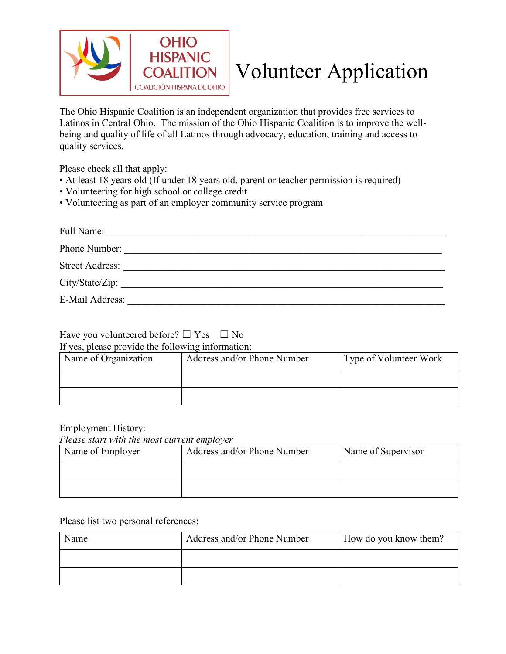

## Volunteer Application

The Ohio Hispanic Coalition is an independent organization that provides free services to Latinos in Central Ohio. The mission of the Ohio Hispanic Coalition is to improve the wellbeing and quality of life of all Latinos through advocacy, education, training and access to quality services.

Please check all that apply:

- At least 18 years old (If under 18 years old, parent or teacher permission is required)
- Volunteering for high school or college credit
- Volunteering as part of an employer community service program

| Full Name:             |
|------------------------|
| Phone Number:          |
| <b>Street Address:</b> |
| City/State/Zip:        |
| E-Mail Address:        |

## Have you volunteered before?  $\Box$  Yes  $\Box$  No

If yes, please provide the following information:

| Name of Organization | Address and/or Phone Number | Type of Volunteer Work |  |
|----------------------|-----------------------------|------------------------|--|
|                      |                             |                        |  |
|                      |                             |                        |  |

## Employment History:

*Please start with the most current employer*

| Name of Employer | Address and/or Phone Number | Name of Supervisor |  |
|------------------|-----------------------------|--------------------|--|
|                  |                             |                    |  |
|                  |                             |                    |  |

## Please list two personal references:

| Name | Address and/or Phone Number | How do you know them? |  |
|------|-----------------------------|-----------------------|--|
|      |                             |                       |  |
|      |                             |                       |  |